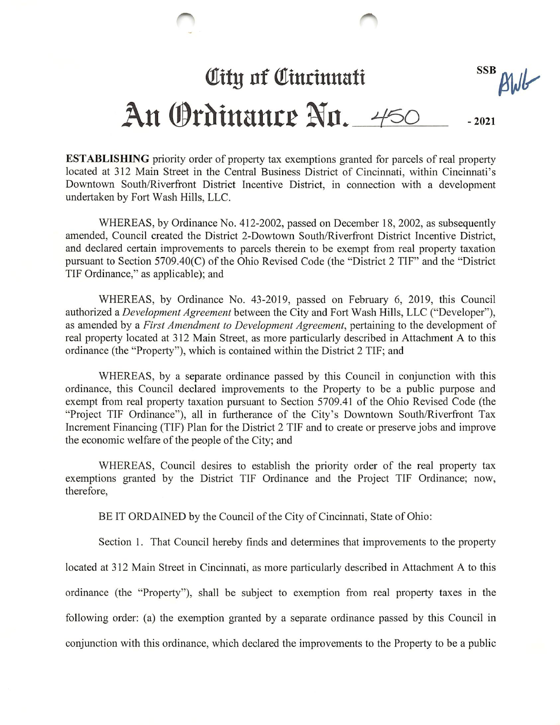## **SSB City of Cincinnati** BWG An Ordinance Nn. 450 -2021

ESTABLISHING priority order of property tax exemptions granted for parcels of real property located at 312 Main Street in the Central Business District of Cincinnati, within Cincinnati's Downtown South/Riverfront District Incentive District, in connection with a development undertaken by Fort Wash Hills, LLC.

WHEREAS, by Ordinance No. 412-2002, passed on December 18, 2002, as subsequently amended, Council created the District 2-Dowtown South/Riverfront District Incentive District, and declared certain improvements to parcels therein to be exempt from real property taxation pursuant to Section 5709.40(C) of the Ohio Revised Code (the "District 2 TIF" and the "District TIF Ordinance," as applicable); and

WHEREAS, by Ordinance No. 43-2019, passed on February 6, 2019, this Council authorized a *Development Agreement* between the City and Fort Wash Hills, LLC ("Developer"), as amended by a First Amendment to Development Agreement, pertaining to the development of real property located at 312 Main Street, as more particularly described in Attachment A to this ordinance (the "Property"), which is contained within the District 2 TIF; and

WHEREAS, by a separate ordinance passed by this Council in conjunction with this ordinance, this Council declared improvements to the Property to be a public purpose and exempt from real property taxation pursuant to Section 5709.41 of the Ohio Revised Code (the "Project TIF Ordinance"), all in furtherance of the City's Downtown South/Riverfront Tax Increment Financing (TIF) Plan for the District 2 TIF and to create or preserve jobs and improve the economic welfare of the people of the City; and

WHEREAS, Council desires to establish the priority order of the real property tax exemptions granted by the District TIF Ordinance and the Project TIF Ordinance; now, therefore,

BE IT ORDAINED by the Council of the City of Cincinnati, State of Ohio:

Section 1. That Council hereby finds and determines that improvements to the property

located at 312 Main Street in Cincinnati, as more particularly described in Attachment A to this ordinance (the "Property"), shall be subject to exemption from real property taxes in the

following order: (a) the exemption granted by a separate ordinance passed by this Council in

conjunction with this ordinance, which declared the improvements to the Property to be a public